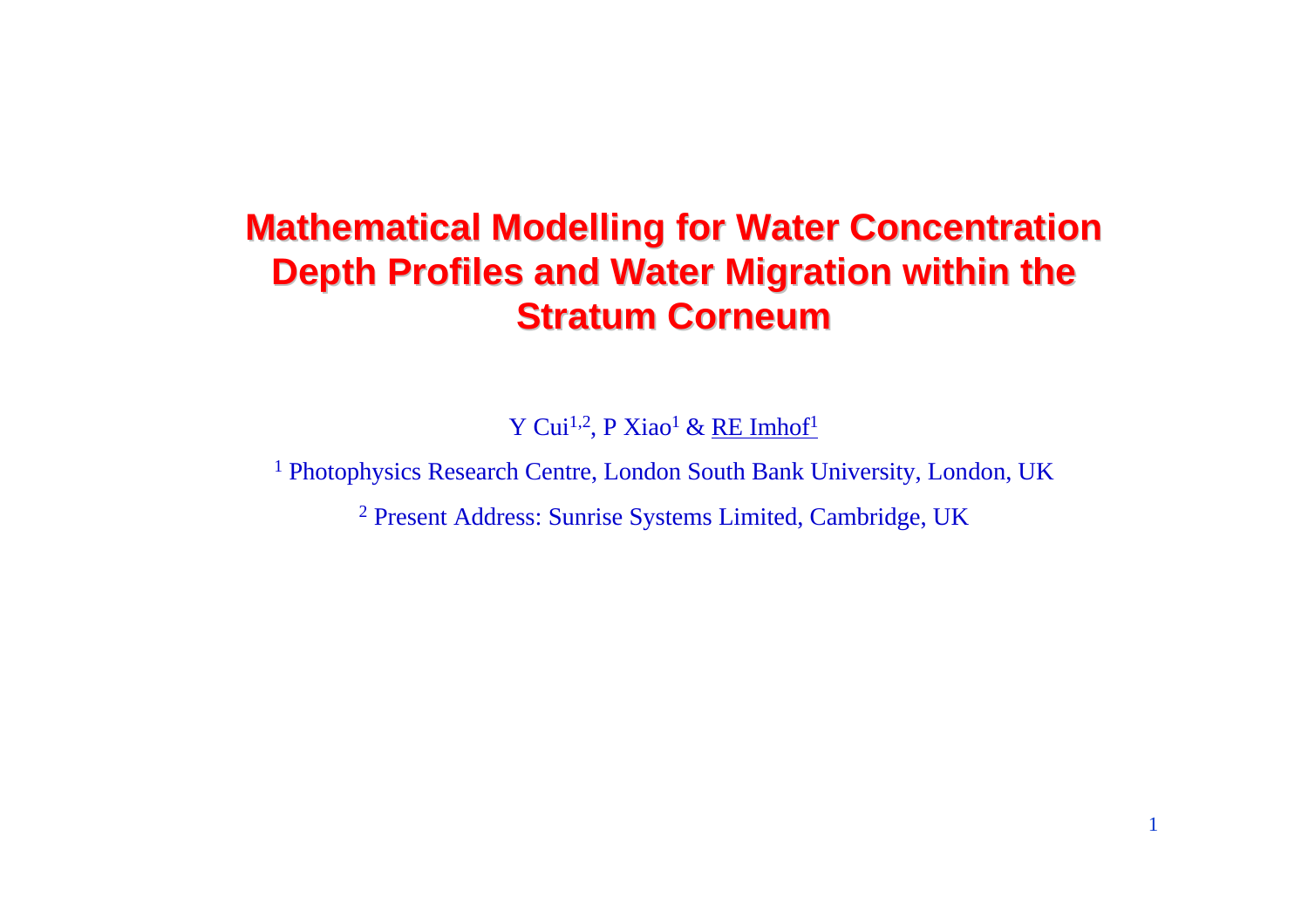# **Mathematical Modelling for Water Concentration Depth Profiles and Water Migration within the Stratum Corneum**

Y Cui<sup>1,2</sup>, P Xiao<sup>1</sup> & RE Imhof<sup>1</sup>

<sup>1</sup> Photophysics Research Centre, London South Bank University, London, UK

<sup>2</sup> Present Address: Sunrise Systems Limited, Cambridge, UK

1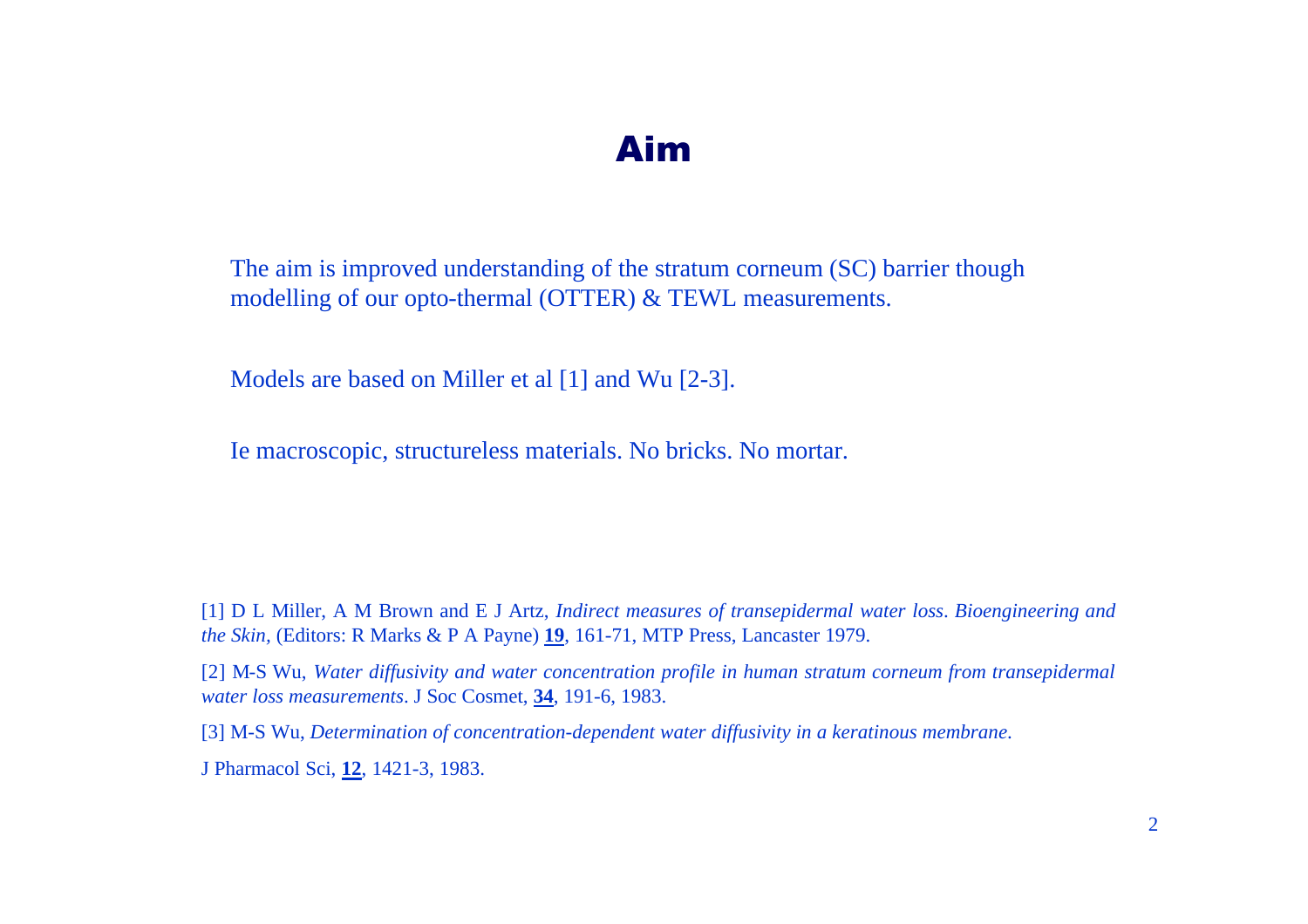#### Aim

The aim is improved understanding of the stratum corneum (SC) barrier though modelling of our opto-thermal (OTTER) & TEWL measurements.

Models are based on Miller et al [1] and Wu [2-3].

Ie macroscopic, structureless materials. No bricks. No mortar.

[1] D L Miller, A M Brown and E J Artz, *Indirect measures of transepidermal water loss*. *Bioengineering and the Skin,* (Editors: R Marks & P A Payne) **19**, 161-71, MTP Press, Lancaster 1979.

[2] M-S Wu, *Water diffusivity and water concentration profile in human stratum corneum from transepidermal water loss measurements*. J Soc Cosmet, **34**, 191-6, 1983.

[3] M-S Wu, *Determination of concentration-dependent water diffusivity in a keratinous membrane*.

J Pharmacol Sci, **12**, 1421-3, 1983.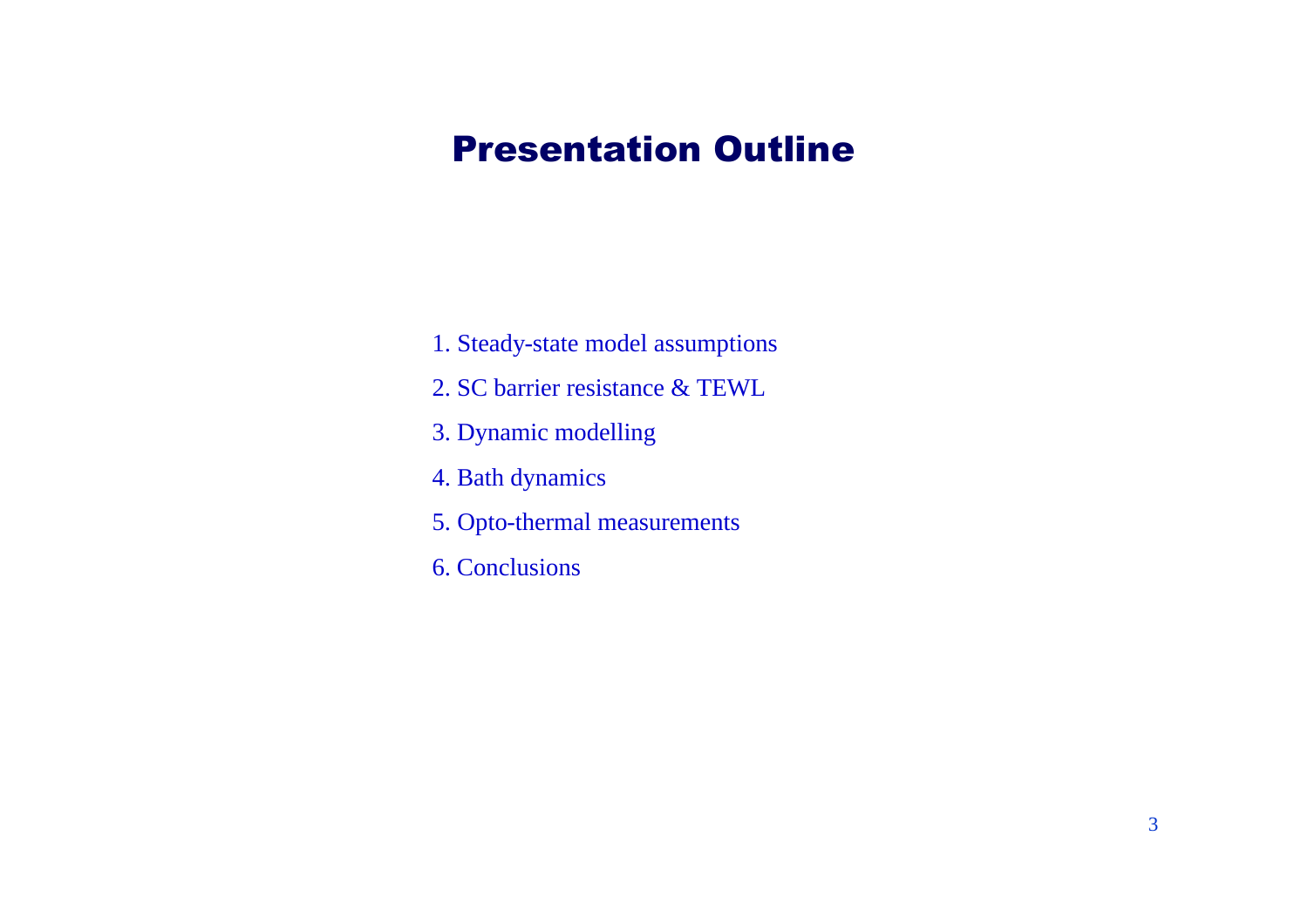## Presentation Outline

- 1. Steady-state model assumptions
- 2. SC barrier resistance & TEWL
- 3. Dynamic modelling
- 4. Bath dynamics
- 5. Opto-thermal measurements
- 6. Conclusions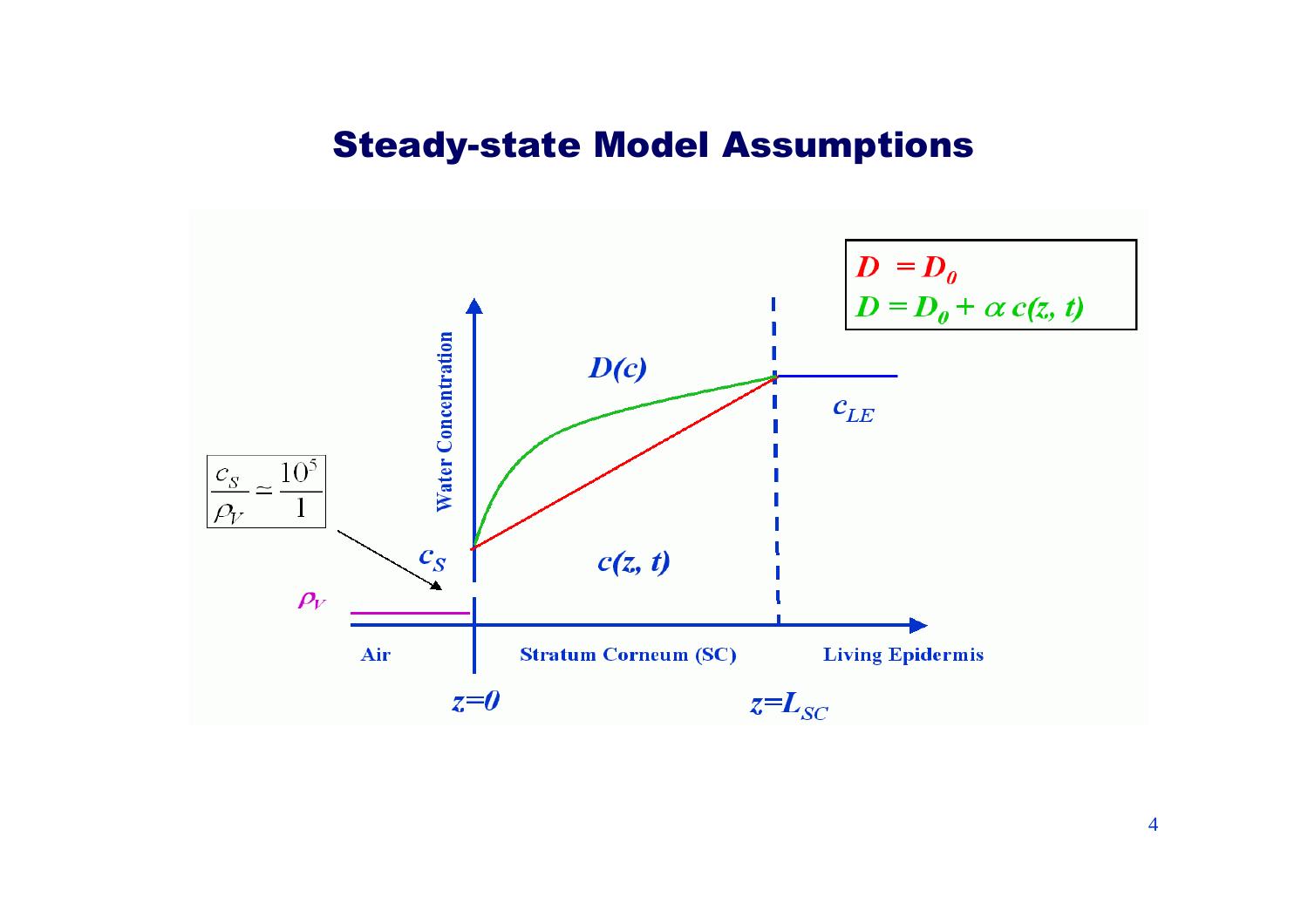#### Steady-state Model Assumptions

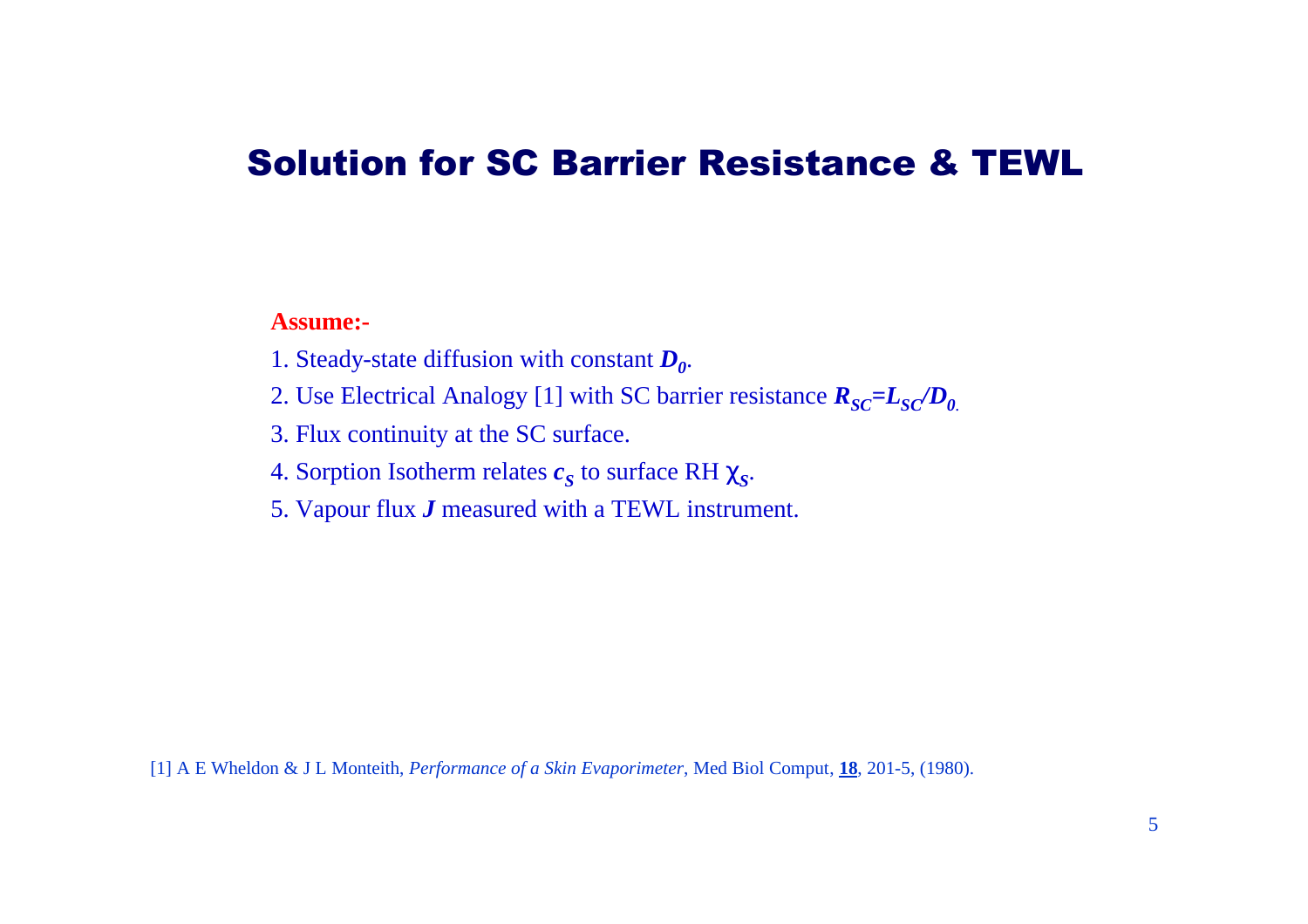### Solution for SC Barrier Resistance & TEWL

**Assume:-**

- 1. Steady-state diffusion with constant *D<sup>0</sup>* .
- 2. Use Electrical Analogy [1] with SC barrier resistance  $R_{SC} = L_{SC}/D_0$ .
- 3. Flux continuity at the SC surface.
- 4. Sorption Isotherm relates  $c_S$  to surface RH  $c_S$ .
- 5. Vapour flux *J* measured with a TEWL instrument.

[1] A E Wheldon & J L Monteith, *Performance of a Skin Evaporimeter*, Med Biol Comput, **18**, 201-5, (1980).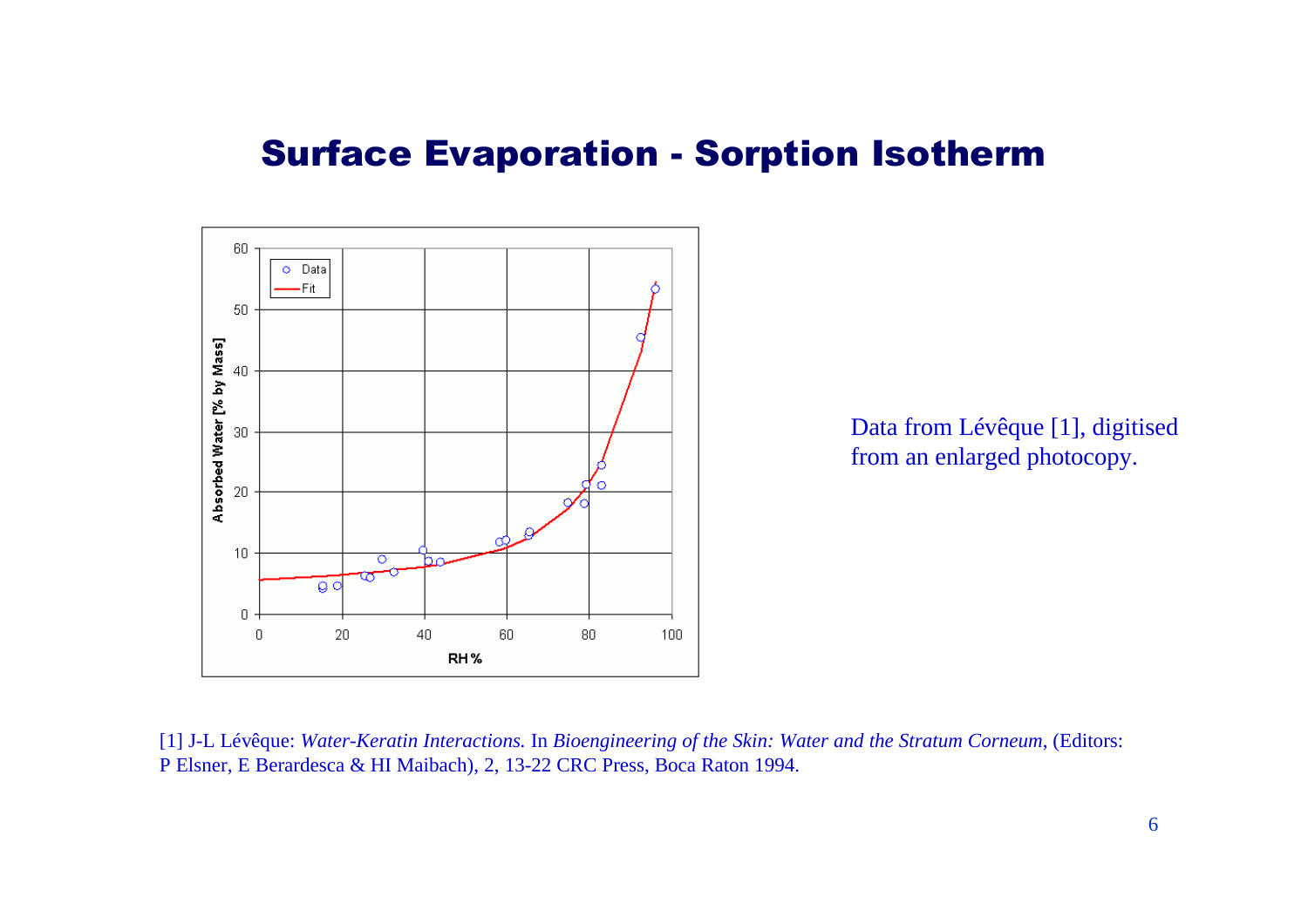#### Surface Evaporation - Sorption Isotherm



[1] J-L Lévêque: *Water-Keratin Interactions.* In *Bioengineering of the Skin: Water and the Stratum Corneum*, (Editors: P Elsner, E Berardesca & HI Maibach), 2, 13-22 CRC Press, Boca Raton 1994.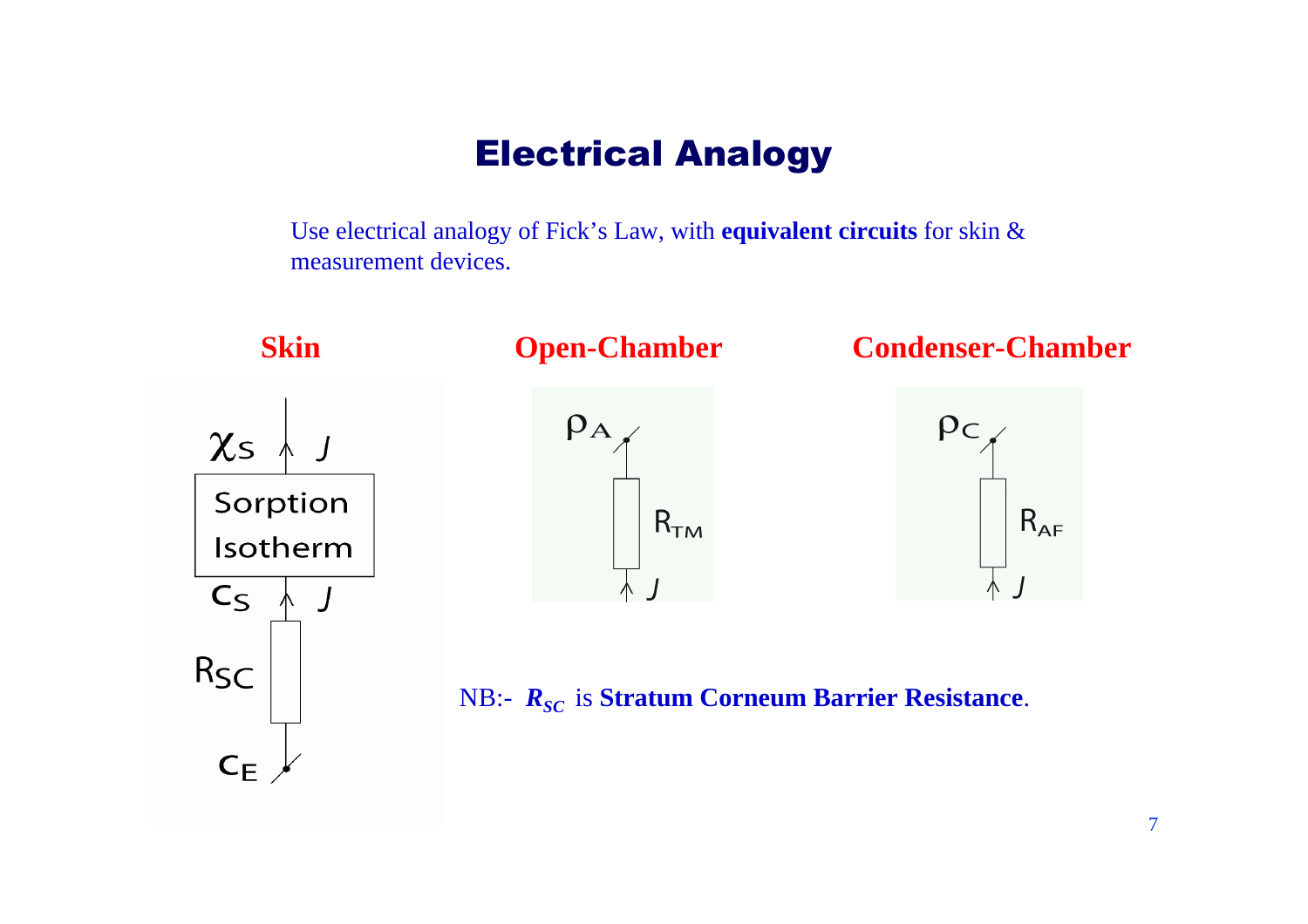### Electrical Analogy

Use electrical analogy of Fick's Law, with **equivalent circuits** for skin & measurement devices.

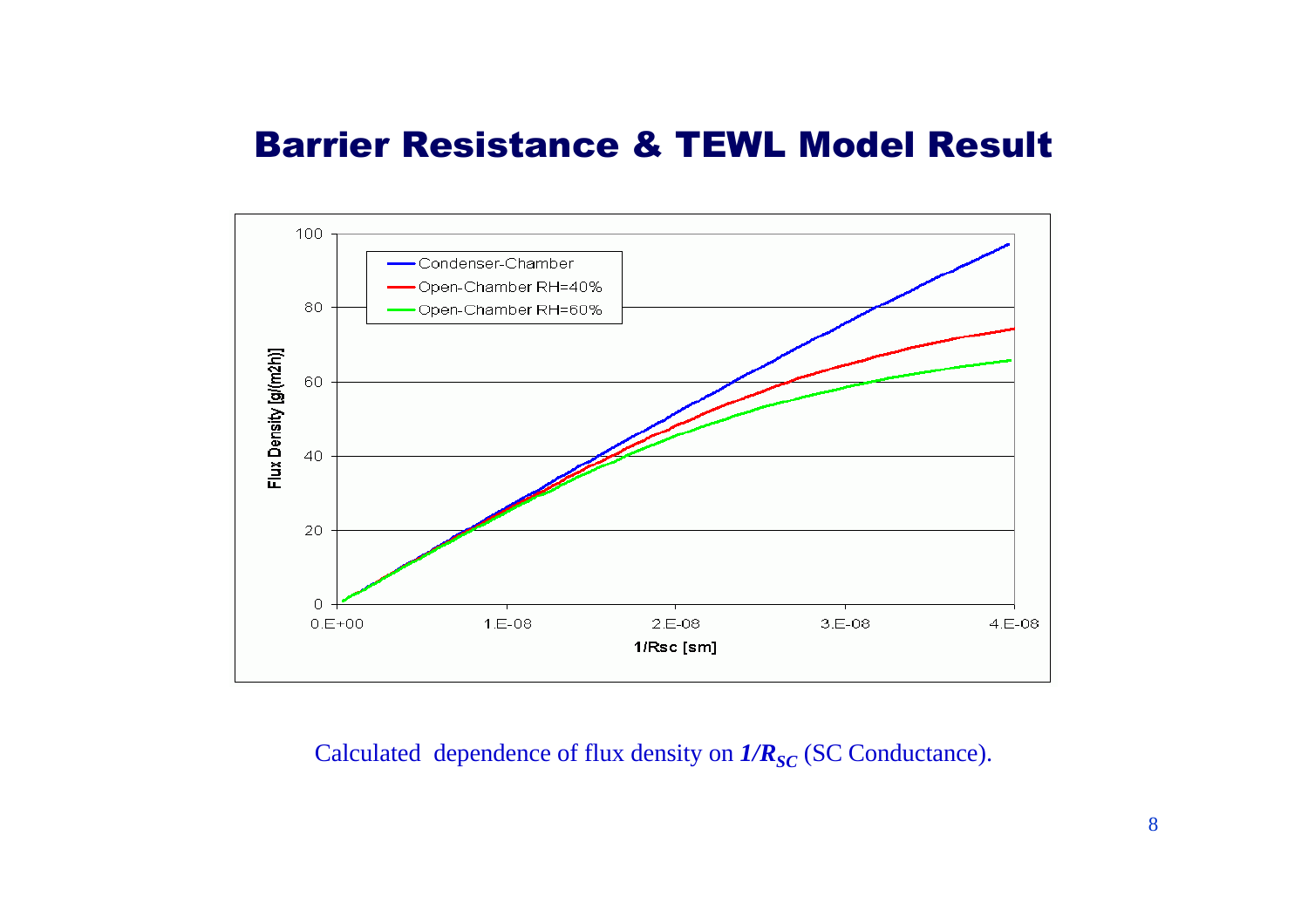## Barrier Resistance & TEWL Model Result



Calculated dependence of flux density on  $1/R_{SC}$  (SC Conductance).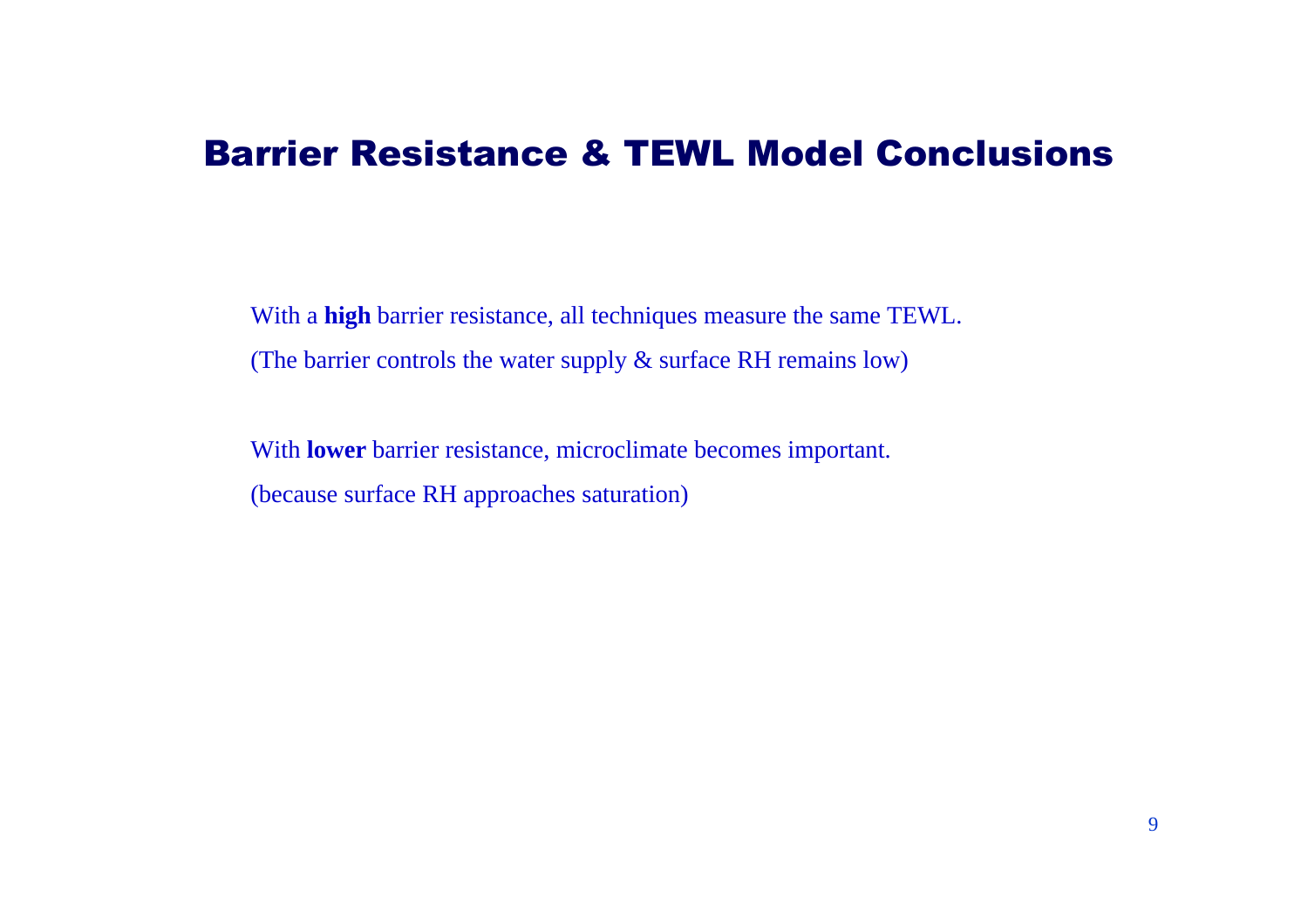### Barrier Resistance & TEWL Model Conclusions

With a **high** barrier resistance, all techniques measure the same TEWL. (The barrier controls the water supply & surface RH remains low)

With **lower** barrier resistance, microclimate becomes important. (because surface RH approaches saturation)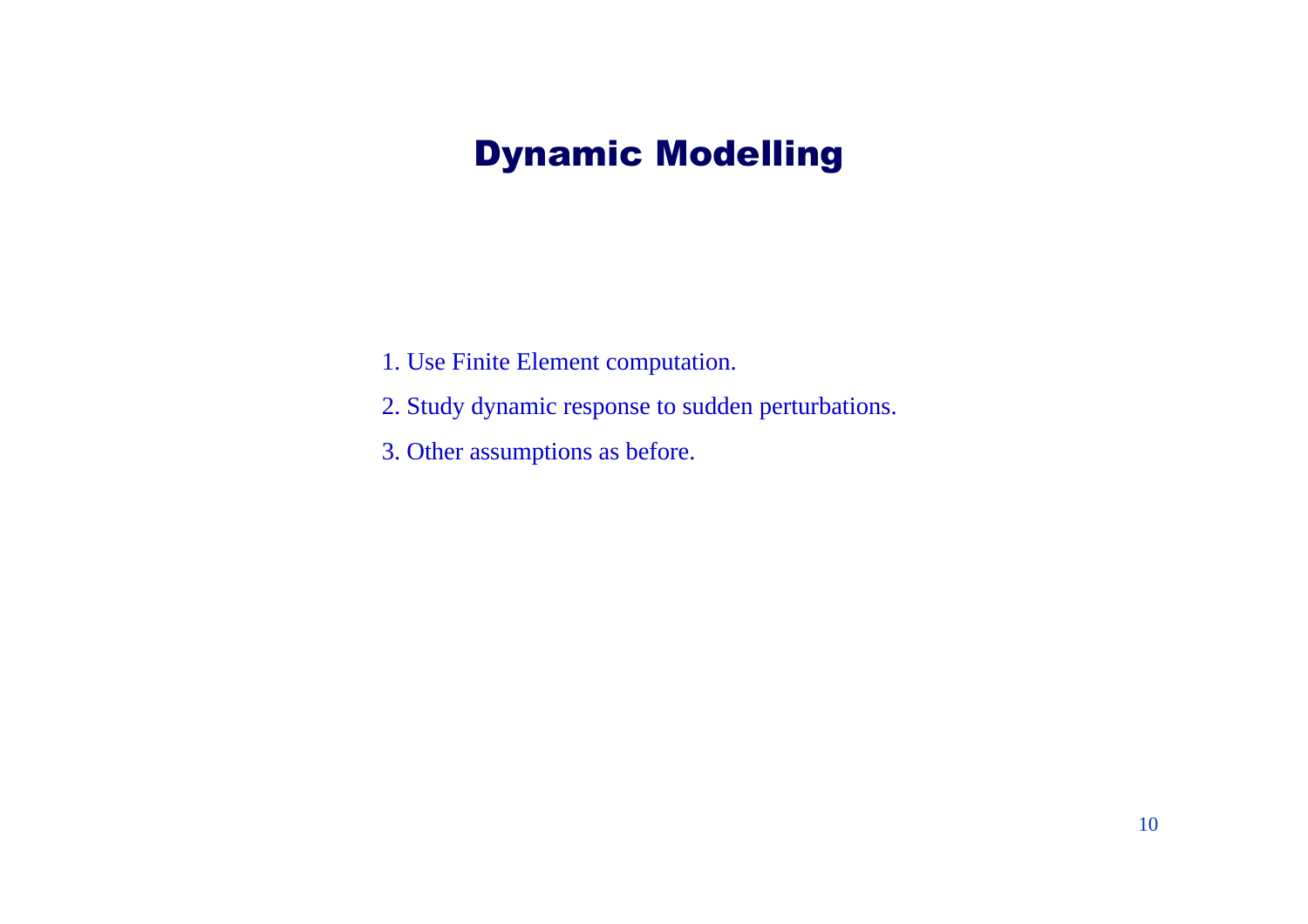# Dynamic Modelling

- 1. Use Finite Element computation.
- 2. Study dynamic response to sudden perturbations.
- 3. Other assumptions as before.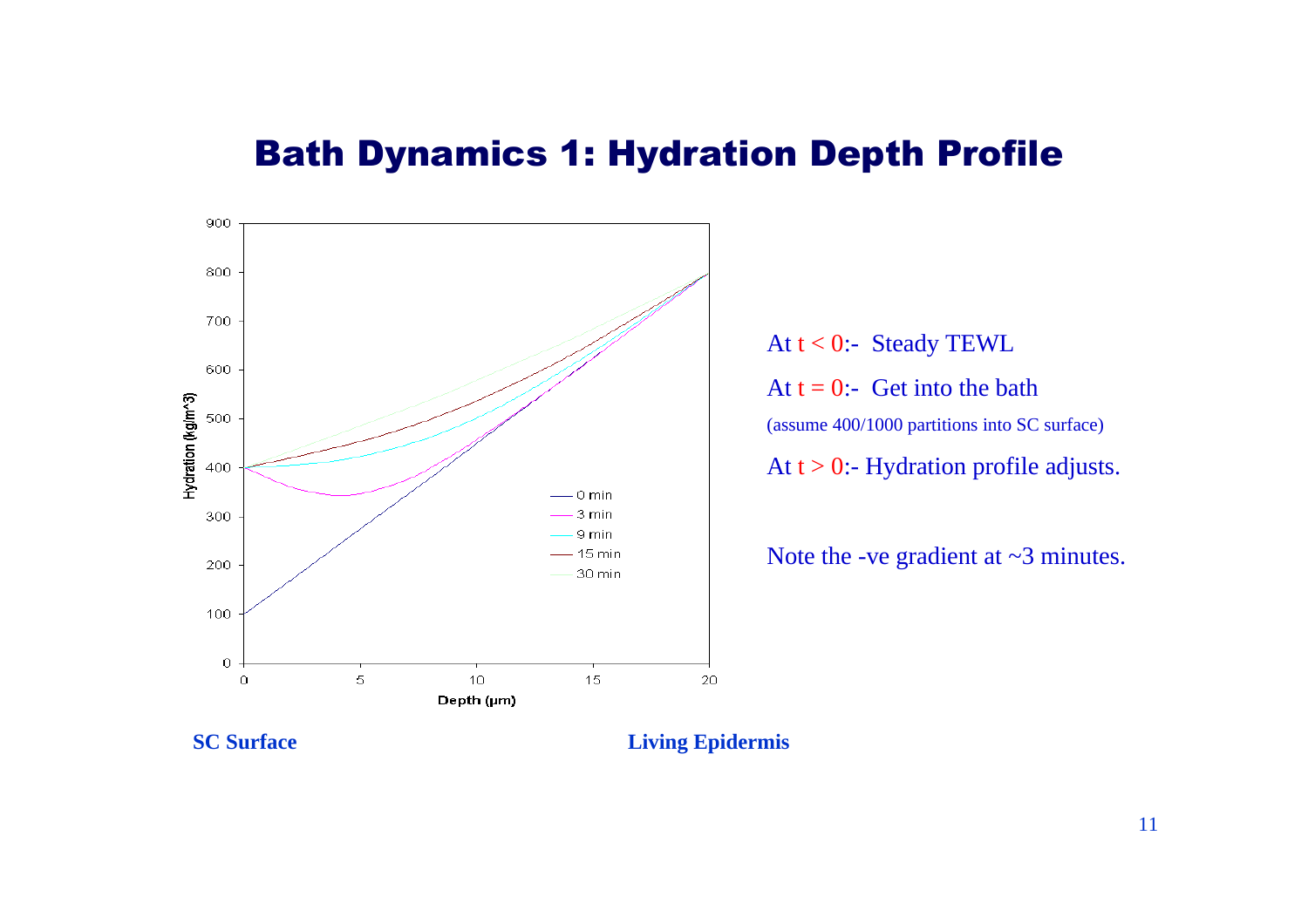### Bath Dynamics 1: Hydration Depth Profile



At  $t < 0$ :- Steady TEWL At  $t = 0$ :- Get into the bath (assume 400/1000 partitions into SC surface) At  $t > 0$ :- Hydration profile adjusts.

Note the -ve gradient at  $\sim$ 3 minutes.

**SC Surface Living Epidermis**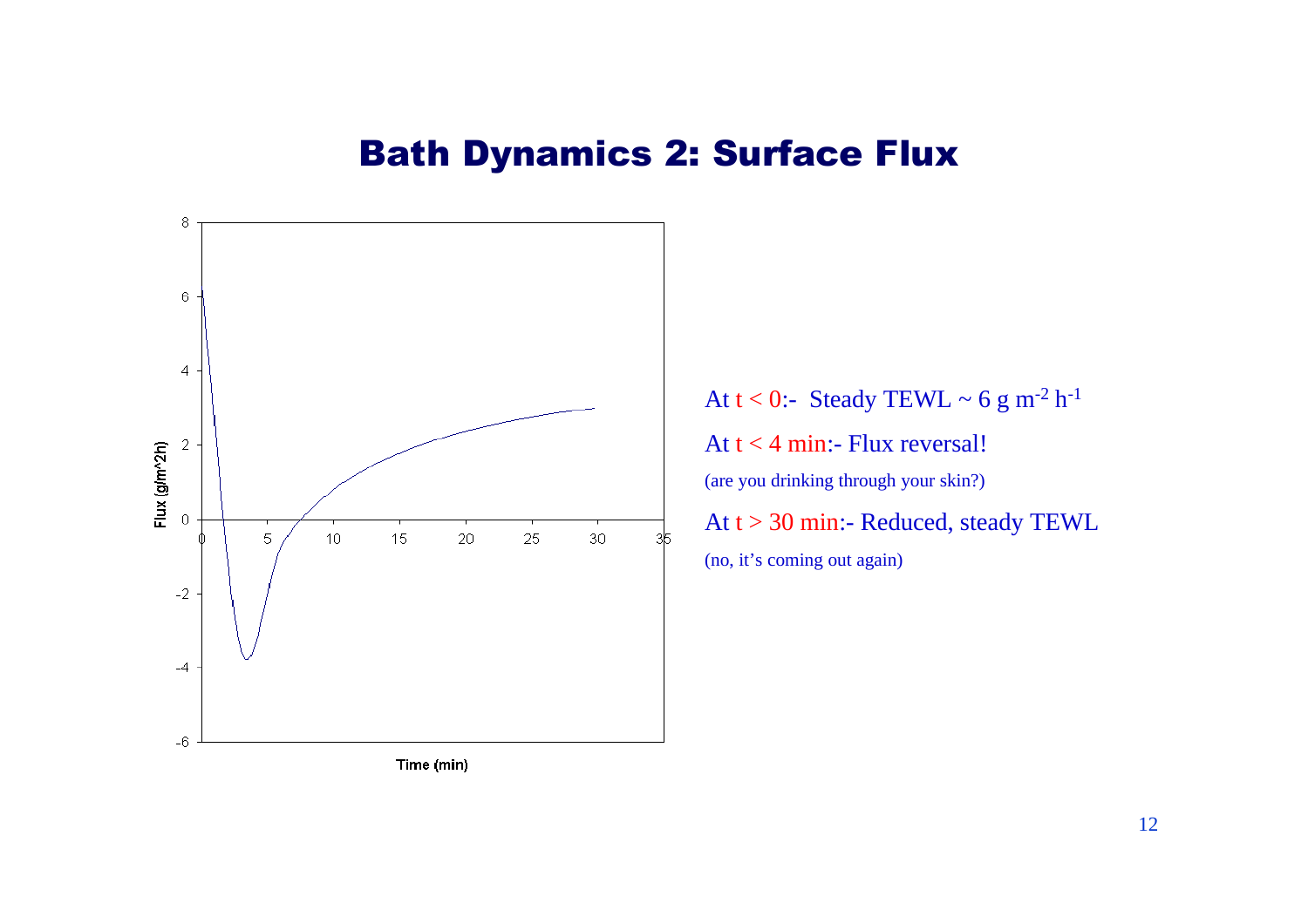#### Bath Dynamics 2: Surface Flux



At  $t < 0$ :- Steady TEWL ~ 6 g m<sup>-2</sup> h<sup>-1</sup> At  $t < 4$  min:- Flux reversal! (are you drinking through your skin?) At t > 30 min:- Reduced, steady TEWL (no, it's coming out again)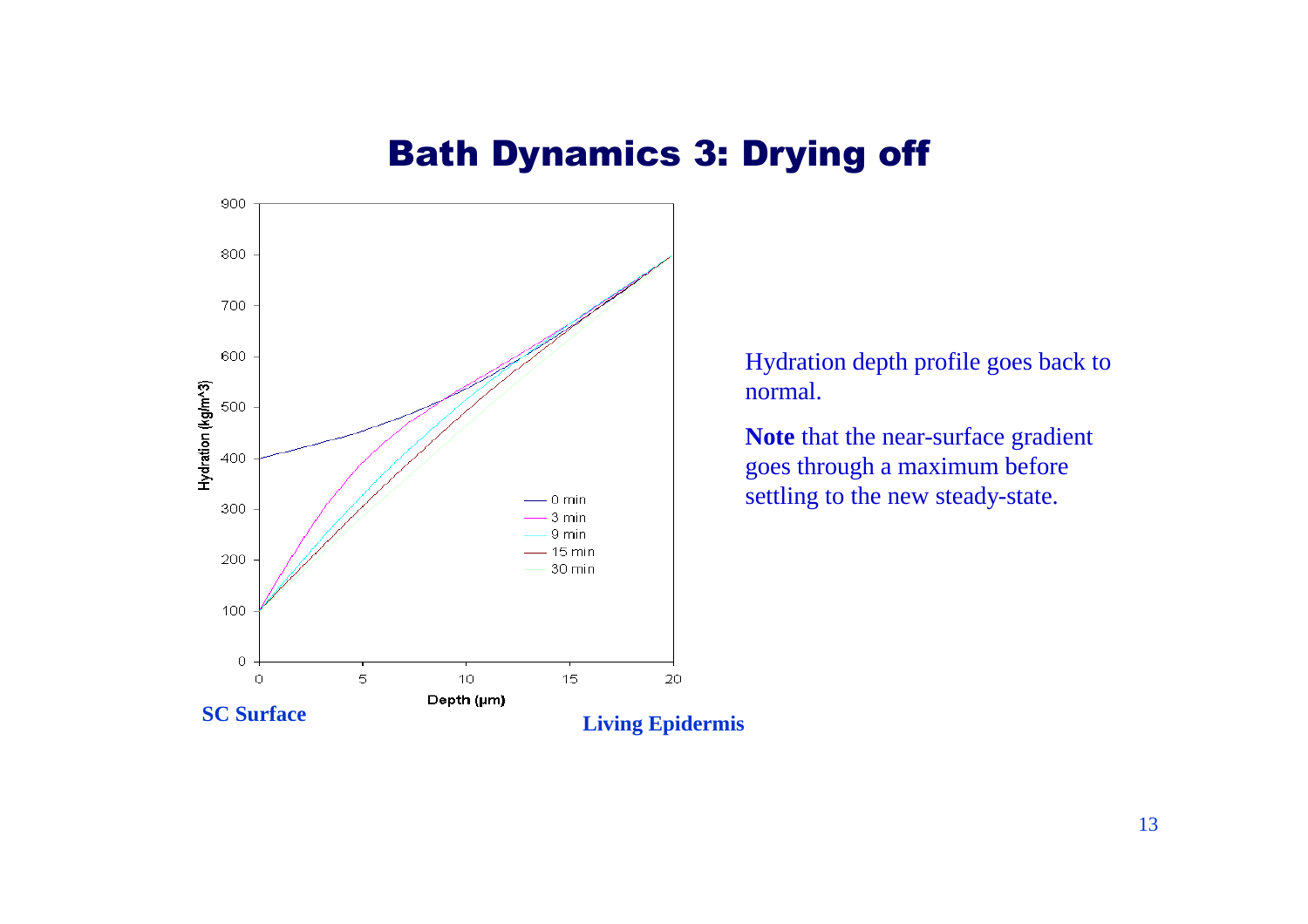### Bath Dynamics 3: Drying off



Hydration depth profile goes back to normal.

**Note** that the near-surface gradient goes through a maximum before settling to the new steady-state.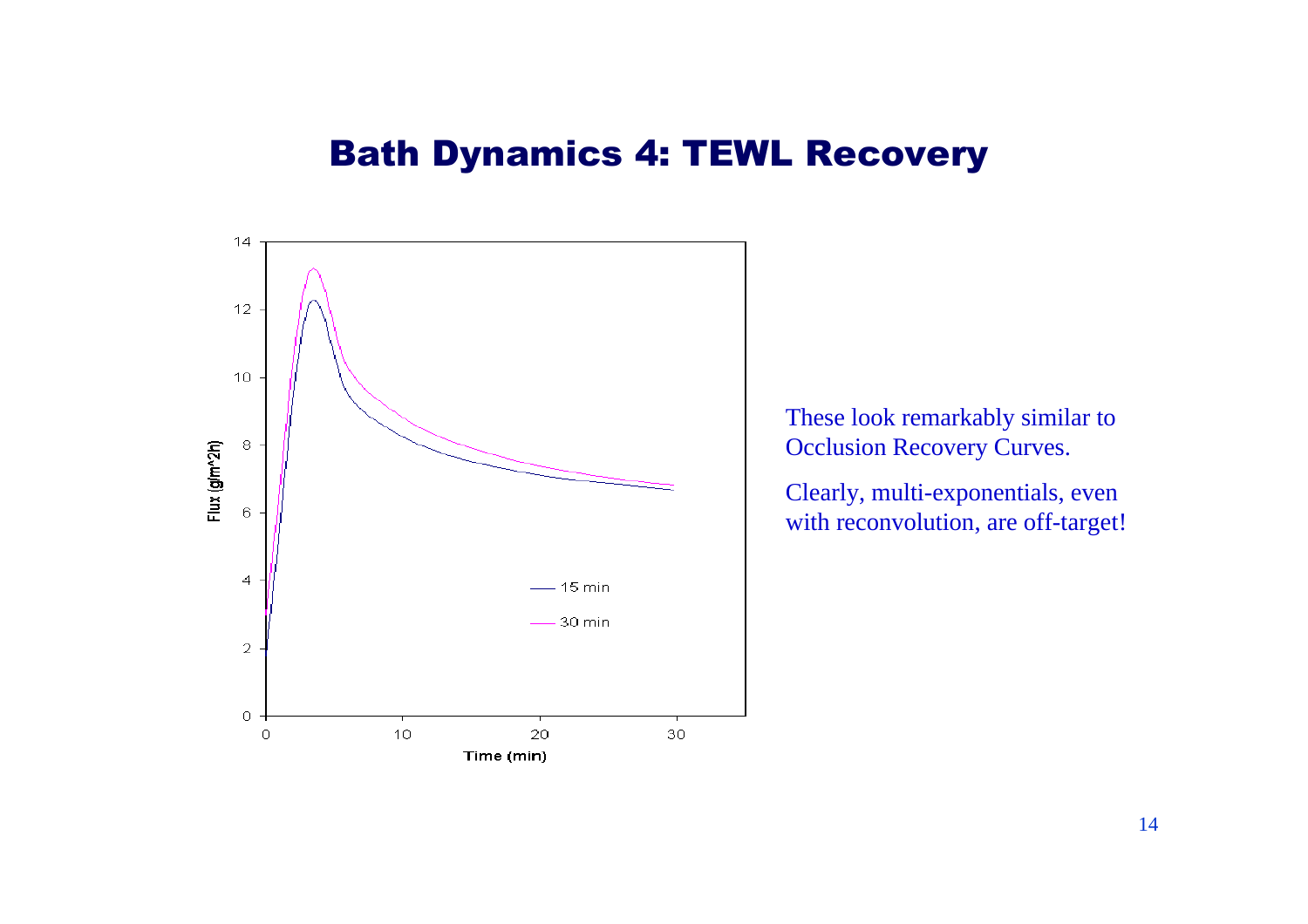#### Bath Dynamics 4: TEWL Recovery



These look remarkably similar to Occlusion Recovery Curves.

Clearly, multi-exponentials, even with reconvolution, are off-target!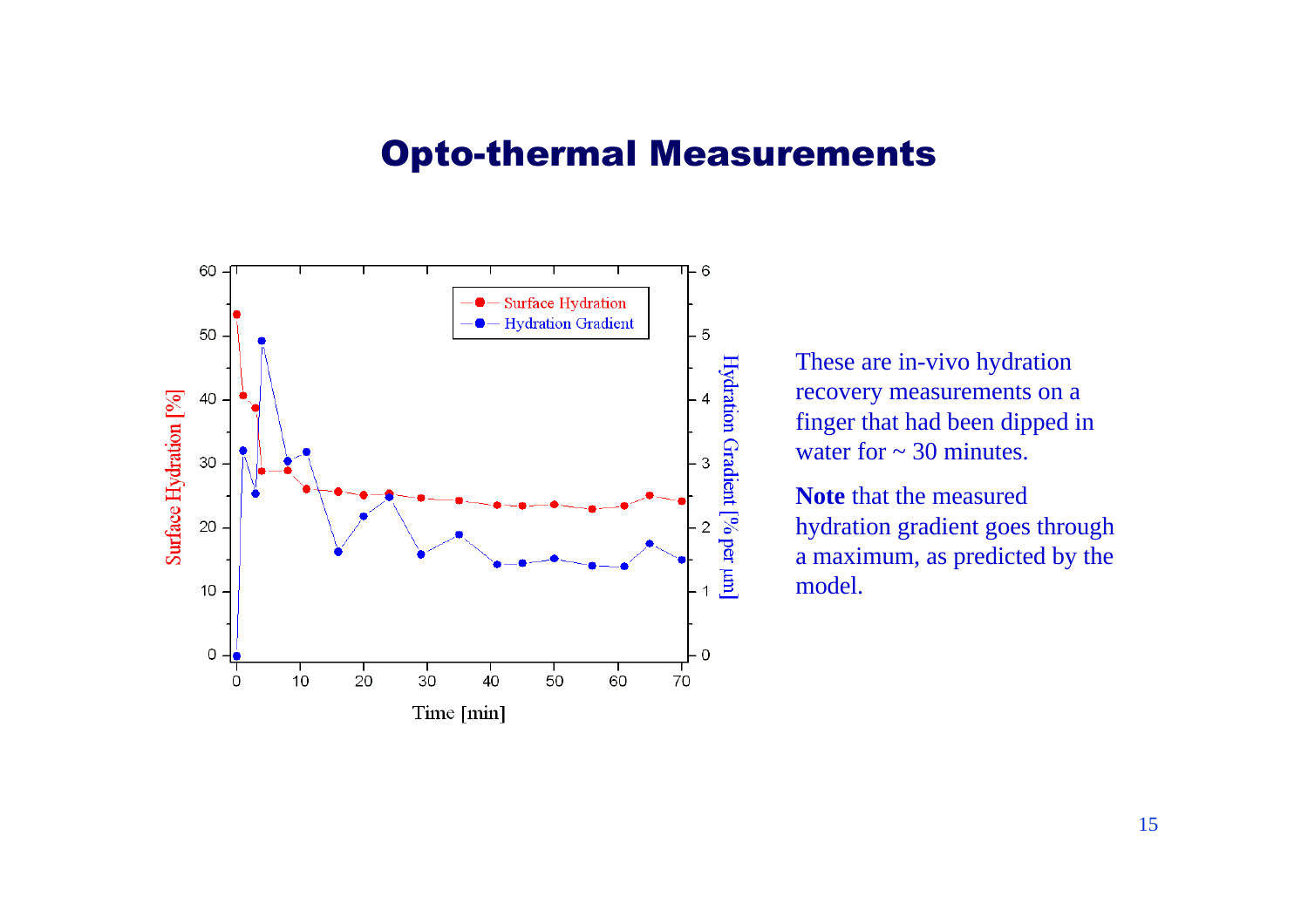#### Opto-thermal Measurements



These are in-vivo hydration recovery measurements on a finger that had been dipped in water for  $\sim$  30 minutes.

**Note** that the measured hydration gradient goes through a maximum, as predicted by the model.